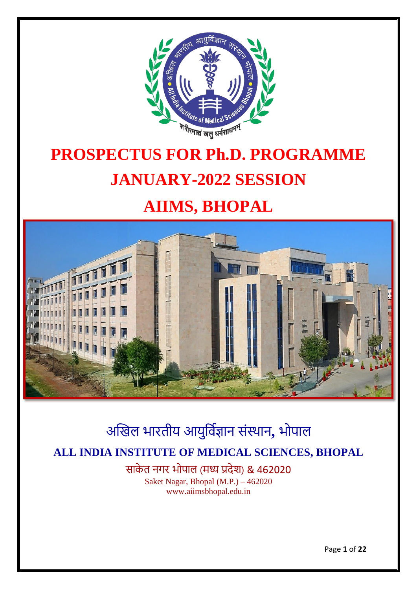

# **PROSPECTUS FOR Ph.D. PROGRAMME JANUARY-2022 SESSION**

## **AIIMS, BHOPAL**



## अखिल भारतीय आयुर्विज्ञान संस्थान**,** भोपाल **ALL INDIA INSTITUTE OF MEDICAL SCIENCES, BHOPAL**

साके त नगर भोपाल (मध्य प्रदेश) & 462020 Saket Nagar, Bhopal (M.P.) – 462020 www.aiimsbhopal.edu.in

Page **1** of **22**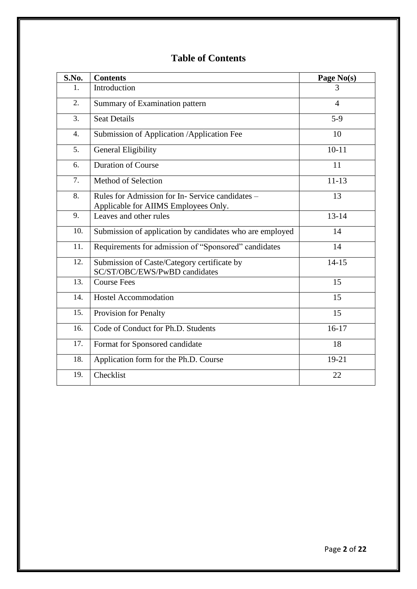### **Table of Contents**

| S.No.            | <b>Contents</b>                                                                                | Page No(s) |
|------------------|------------------------------------------------------------------------------------------------|------------|
| 1.               | Introduction                                                                                   | 3          |
| 2.               | Summary of Examination pattern                                                                 | 4          |
| 3.               | <b>Seat Details</b>                                                                            | $5-9$      |
| $\overline{4}$ . | Submission of Application / Application Fee                                                    | 10         |
| 5.               | <b>General Eligibility</b>                                                                     | $10 - 11$  |
| 6.               | <b>Duration of Course</b>                                                                      | 11         |
| 7.               | Method of Selection                                                                            | $11 - 13$  |
| 8.               | Rules for Admission for In-Service candidates -<br>Applicable for <b>AIIMS</b> Employees Only. | 13         |
| 9.               | Leaves and other rules                                                                         | $13 - 14$  |
| 10.              | Submission of application by candidates who are employed                                       | 14         |
| 11.              | Requirements for admission of "Sponsored" candidates                                           | 14         |
| 12.              | Submission of Caste/Category certificate by<br>SC/ST/OBC/EWS/PwBD candidates                   | $14 - 15$  |
| 13.              | <b>Course Fees</b>                                                                             | 15         |
| 14.              | <b>Hostel Accommodation</b>                                                                    | 15         |
| 15.              | Provision for Penalty                                                                          | 15         |
| 16.              | Code of Conduct for Ph.D. Students                                                             | $16-17$    |
| 17.              | Format for Sponsored candidate                                                                 | 18         |
| 18.              | Application form for the Ph.D. Course                                                          | 19-21      |
| 19.              | Checklist                                                                                      | 22         |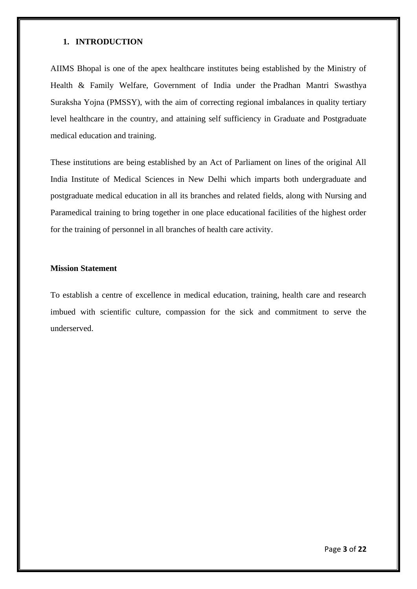#### **1. INTRODUCTION**

AIIMS Bhopal is one of the apex healthcare institutes being established by the Ministry of Health & Family Welfare, Government of India under the Pradhan Mantri Swasthya Suraksha Yojna (PMSSY), with the aim of correcting regional imbalances in quality tertiary level healthcare in the country, and attaining self sufficiency in Graduate and Postgraduate medical education and training.

These institutions are being established by an Act of Parliament on lines of the original All India Institute of Medical Sciences in New Delhi which imparts both undergraduate and postgraduate medical education in all its branches and related fields, along with Nursing and Paramedical training to bring together in one place educational facilities of the highest order for the training of personnel in all branches of health care activity.

#### **Mission Statement**

To establish a centre of excellence in medical education, training, health care and research imbued with scientific culture, compassion for the sick and commitment to serve the underserved.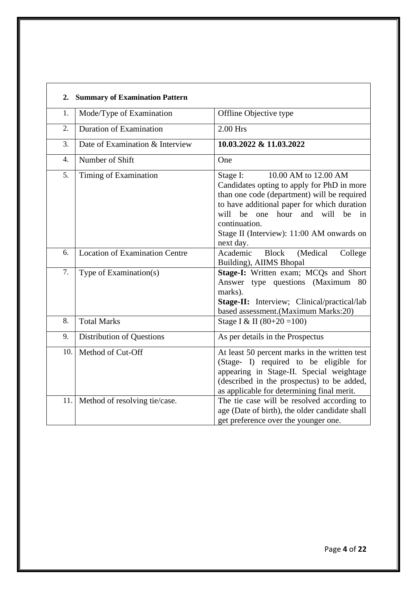| 2.               | <b>Summary of Examination Pattern</b> |                                                                                                                                                                                                                                                                                               |
|------------------|---------------------------------------|-----------------------------------------------------------------------------------------------------------------------------------------------------------------------------------------------------------------------------------------------------------------------------------------------|
| 1.               | Mode/Type of Examination              | Offline Objective type                                                                                                                                                                                                                                                                        |
| 2.               | Duration of Examination               | $2.00$ Hrs                                                                                                                                                                                                                                                                                    |
| 3.               | Date of Examination & Interview       | 10.03.2022 & 11.03.2022                                                                                                                                                                                                                                                                       |
| $\overline{4}$ . | Number of Shift                       | One                                                                                                                                                                                                                                                                                           |
| 5.               | Timing of Examination                 | 10.00 AM to 12.00 AM<br>Stage I:<br>Candidates opting to apply for PhD in more<br>than one code (department) will be required<br>to have additional paper for which duration<br>will be one hour and will be<br>in<br>continuation.<br>Stage II (Interview): 11:00 AM onwards on<br>next day. |
| 6.               | <b>Location of Examination Centre</b> | <b>Block</b><br>Academic<br>(Medical<br>College<br>Building), AIIMS Bhopal                                                                                                                                                                                                                    |
| 7.               | Type of Examination(s)                | Stage-I: Written exam; MCQs and Short<br>Answer type questions (Maximum 80<br>marks).<br>Stage-II: Interview; Clinical/practical/lab<br>based assessment.(Maximum Marks:20)                                                                                                                   |
| 8.               | <b>Total Marks</b>                    | Stage I & II $(80+20=100)$                                                                                                                                                                                                                                                                    |
| 9.               | <b>Distribution of Questions</b>      | As per details in the Prospectus                                                                                                                                                                                                                                                              |
| 10.              | Method of Cut-Off                     | At least 50 percent marks in the written test<br>(Stage- I) required to be eligible for<br>appearing in Stage-II. Special weightage<br>(described in the prospectus) to be added,<br>as applicable for determining final merit.                                                               |
|                  | 11. Method of resolving tie/case.     | The tie case will be resolved according to<br>age (Date of birth), the older candidate shall<br>get preference over the younger one.                                                                                                                                                          |

٦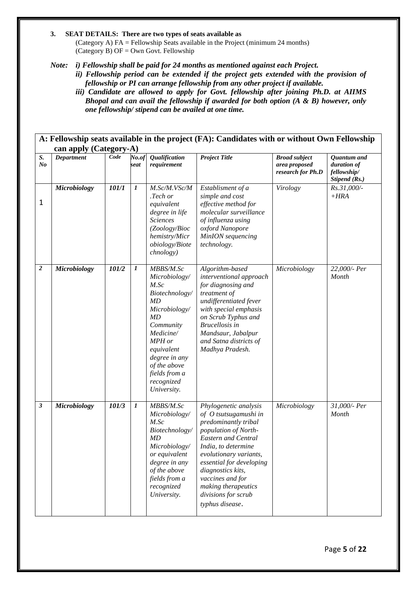#### **3. SEAT DETAILS: There are two types of seats available as**

(Category A) FA = Fellowship Seats available in the Project (minimum 24 months) (Category B)  $OF = Own Govt$ . Fellowship

*Note: i) Fellowship shall be paid for 24 months as mentioned against each Project.*

*ii) Fellowship period can be extended if the project gets extended with the provision of fellowship or PI can arrange fellowship from any other project if available.*

*iii) Candidate are allowed to apply for Govt. fellowship after joining Ph.D. at AIIMS Bhopal and can avail the fellowship if awarded for both option (A & B) however, only one fellowship/ stipend can be availed at one time.*

|                      | A: Fellowship seats available in the project (FA): Candidates with or without Own Fellowship<br>can apply (Category-A) |       |                  |                                                                                                                                                                                                                    |                                                                                                                                                                                                                                                                                                                     |                                                            |                                                            |  |
|----------------------|------------------------------------------------------------------------------------------------------------------------|-------|------------------|--------------------------------------------------------------------------------------------------------------------------------------------------------------------------------------------------------------------|---------------------------------------------------------------------------------------------------------------------------------------------------------------------------------------------------------------------------------------------------------------------------------------------------------------------|------------------------------------------------------------|------------------------------------------------------------|--|
| S.<br>N <sub>o</sub> | <b>Department</b>                                                                                                      | Code  | No.of<br>seat    | Qualification<br>requirement                                                                                                                                                                                       | <b>Project Title</b>                                                                                                                                                                                                                                                                                                | <b>Broad subject</b><br>area proposed<br>research for Ph.D | Quantum and<br>duration of<br>fellowship/<br>Stipend (Rs.) |  |
| $\mathbf{1}$         | <b>Microbiology</b>                                                                                                    | 101/1 | $\boldsymbol{I}$ | M.Sc/M.VSc/M<br>.Tech or<br>equivalent<br>degree in life<br><b>Sciences</b><br>(Zoology/Bioc<br>hemistry/Micr<br>obiology/Biote<br>chnology)                                                                       | Establisment of a<br>simple and cost<br>effective method for<br>molecular surveillance<br>of influenza using<br>oxford Nanopore<br>MinION sequencing<br>technology.                                                                                                                                                 | Virology                                                   | Rs.31,000/-<br>$+HRA$                                      |  |
| $\boldsymbol{2}$     | <b>Microbiology</b>                                                                                                    | 101/2 | 1                | MBBS/M.Sc<br>Microbiology/<br>M.Sc<br>Biotechnology/<br>MD<br>Microbiology/<br>MD<br>Community<br>Medicine/<br>MPH or<br>equivalent<br>degree in any<br>of the above<br>fields from a<br>recognized<br>University. | Algorithm-based<br>interventional approach<br>for diagnosing and<br>treatment of<br>undifferentiated fever<br>with special emphasis<br>on Scrub Typhus and<br><b>Brucellosis</b> in<br>Mandsaur, Jabalpur<br>and Satna districts of<br>Madhya Pradesh.                                                              | Microbiology                                               | 22,000/- Per<br>Month                                      |  |
| 3                    | <b>Microbiology</b>                                                                                                    | 101/3 | 1                | MBBS/M.Sc<br>Microbiology/<br>M.Sc<br>Biotechnology/<br>MD<br>Microbiology/<br>or equivalent<br>degree in any<br>of the above<br>fields from a<br>recognized<br>University.                                        | Phylogenetic analysis<br>of O tsutsugamushi in<br>predominantly tribal<br>population of North-<br><b>Eastern and Central</b><br>India, to determine<br>evolutionary variants,<br>essential for developing<br>diagnostics kits,<br>vaccines and for<br>making therapeutics<br>divisions for scrub<br>typhus disease. | Microbiology                                               | 31,000/- Per<br>Month                                      |  |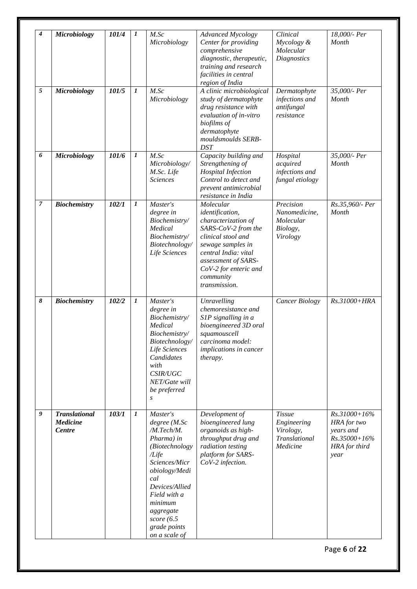| 4              | <b>Microbiology</b>                                      | 101/4 | 1                | M.Sc<br>Microbiology                                                                                                                                                                                                                 | <b>Advanced Mycology</b><br>Center for providing<br>comprehensive<br>diagnostic, therapeutic,<br>training and research<br>facilities in central<br>region of India                                                          | Clinical<br>Mycology &<br>Molecular<br><b>Diagnostics</b>              | 18,000/- Per<br>Month                                                                  |
|----------------|----------------------------------------------------------|-------|------------------|--------------------------------------------------------------------------------------------------------------------------------------------------------------------------------------------------------------------------------------|-----------------------------------------------------------------------------------------------------------------------------------------------------------------------------------------------------------------------------|------------------------------------------------------------------------|----------------------------------------------------------------------------------------|
| $\sqrt{5}$     | <b>Microbiology</b>                                      | 101/5 | $\boldsymbol{l}$ | M.Sc<br>Microbiology                                                                                                                                                                                                                 | A clinic microbiological<br>study of dermatophyte<br>drug resistance with<br>evaluation of in-vitro<br>biofilms of<br>dermatophyte<br>mouldsmoulds SERB-<br><b>DST</b>                                                      | Dermatophyte<br>infections and<br>antifungal<br>resistance             | 35,000/- Per<br>Month                                                                  |
| 6              | <b>Microbiology</b>                                      | 101/6 | $\boldsymbol{l}$ | M.Sc<br>Microbiology/<br>M.Sc. Life<br><b>Sciences</b>                                                                                                                                                                               | Capacity building and<br>Strengthening of<br><b>Hospital Infection</b><br>Control to detect and<br>prevent antimicrobial<br>resistance in India                                                                             | Hospital<br>acquired<br>infections and<br>fungal etiology              | 35,000/- Per<br>Month                                                                  |
| $\overline{7}$ | <b>Biochemistry</b>                                      | 102/1 | $\boldsymbol{l}$ | Master's<br>degree in<br>Biochemistry/<br>Medical<br>Biochemistry/<br>Biotechnology/<br>Life Sciences                                                                                                                                | Molecular<br>identification,<br>characterization of<br>SARS-CoV-2 from the<br>clinical stool and<br>sewage samples in<br>central India: vital<br>assessment of SARS-<br>CoV-2 for enteric and<br>community<br>transmission. | Precision<br>Nanomedicine,<br>Molecular<br>Biology,<br>Virology        | Rs.35,960/- Per<br>Month                                                               |
| 8              | <b>Biochemistry</b>                                      | 102/2 | $\boldsymbol{l}$ | Master's<br>degree in<br>Biochemistry/<br>Medical<br>Biochemistry/<br>Biotechnology/<br>Life Sciences<br>Candidates<br>with<br>CSIR/UGC<br>NET/Gate will<br>be preferred<br>$\boldsymbol{S}$                                         | Unravelling<br>chemoresistance and<br>S1P signalling in a<br>bioengineered 3D oral<br>squamouscell<br>carcinoma model:<br>implications in cancer<br>therapy.                                                                | <b>Cancer Biology</b>                                                  | Rs.31000+HRA                                                                           |
| 9              | <b>Translational</b><br><b>Medicine</b><br><b>Centre</b> | 103/1 | $\boldsymbol{l}$ | Master's<br>degree (M.Sc<br>/M.Tech/M.<br>Pharma) in<br>(Biotechnology<br>/Life<br>Sciences/Micr<br>obiology/Medi<br>cal<br>Devices/Allied<br>Field with a<br>minimum<br>aggregate<br>score $(6.5)$<br>grade points<br>on a scale of | Development of<br>bioengineered lung<br>organoids as high-<br>throughput drug and<br>radiation testing<br>platform for SARS-<br>CoV-2 infection.                                                                            | <b>Tissue</b><br>Engineering<br>Virology,<br>Translational<br>Medicine | Rs.31000+16%<br>HRA for two<br>years and<br>$Rs.35000 + 16\%$<br>HRA for third<br>year |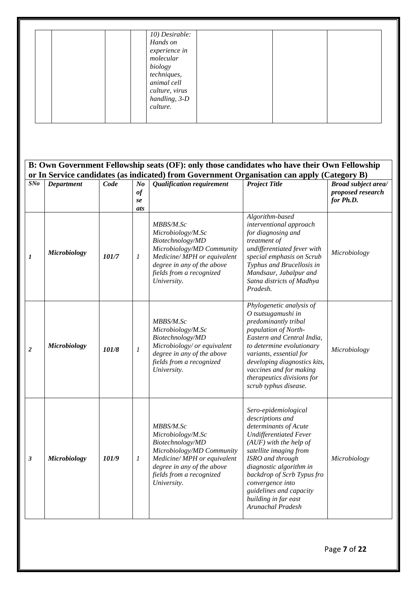|                  |                     |       |                                         | 10) Desirable:<br>Hands on<br>experience in<br>molecular<br>biology<br>techniques,<br>animal cell<br>culture, virus<br>handling, 3-D<br>culture.                                            |                                                                                                                                                                                                                                                                                                                                   |                                                              |
|------------------|---------------------|-------|-----------------------------------------|---------------------------------------------------------------------------------------------------------------------------------------------------------------------------------------------|-----------------------------------------------------------------------------------------------------------------------------------------------------------------------------------------------------------------------------------------------------------------------------------------------------------------------------------|--------------------------------------------------------------|
|                  |                     |       |                                         | B: Own Government Fellowship seats (OF): only those candidates who have their Own Fellowship<br>or In Service candidates (as indicated) from Government Organisation can apply (Category B) |                                                                                                                                                                                                                                                                                                                                   |                                                              |
| SNo              | <b>Department</b>   | Code  | N <sub>o</sub><br>$\it of$<br>se<br>ats | Qualification requirement                                                                                                                                                                   | <b>Project Title</b>                                                                                                                                                                                                                                                                                                              | <b>Broad subject area/</b><br>proposed research<br>for Ph.D. |
| 1                | <b>Microbiology</b> | 101/7 | 1                                       | MBBS/M.Sc<br>Microbiology/M.Sc<br>Biotechnology/MD<br>Microbiology/MD Community<br>Medicine/MPH or equivalent<br>degree in any of the above<br>fields from a recognized<br>University.      | Algorithm-based<br>interventional approach<br>for diagnosing and<br>treatment of<br>undifferentiated fever with<br>special emphasis on Scrub<br>Typhus and Brucellosis in<br>Mandsaur, Jabalpur and<br>Satna districts of Madhya<br>Pradesh.                                                                                      | Microbiology                                                 |
| $\boldsymbol{2}$ | <b>Microbiology</b> | 101/8 | 1                                       | MBBS/M.Sc<br>Microbiology/M.Sc<br>Biotechnology/MD<br>Microbiology/ or equivalent<br>degree in any of the above<br>fields from a recognized<br>University.                                  | Phylogenetic analysis of<br>O tsutsugamushi in<br>predominantly tribal<br>population of North-<br>Eastern and Central India,<br>to determine evolutionary<br>variants, essential for<br>developing diagnostics kits,<br>vaccines and for making<br>therapeutics divisions for<br>scrub typhus disease.                            | Microbiology                                                 |
| 3                | <b>Microbiology</b> | 101/9 | 1                                       | MBBS/M.Sc<br>Microbiology/M.Sc<br>Biotechnology/MD<br>Microbiology/MD Community<br>Medicine/MPH or equivalent<br>degree in any of the above<br>fields from a recognized<br>University.      | Sero-epidemiological<br>descriptions and<br>determinants of Acute<br><b>Undifferentiated Fever</b><br>$(AUF)$ with the help of<br>satellite imaging from<br>ISRO and through<br>diagnostic algorithm in<br>backdrop of Scrb Typus fro<br>convergence into<br>guidelines and capacity<br>building in far east<br>Arunachal Pradesh | Microbiology                                                 |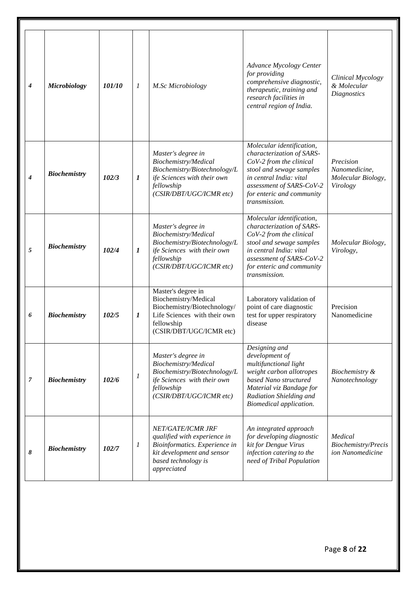| $\overline{4}$ | <b>Microbiology</b> | 101/10 | 1                | M.Sc Microbiology                                                                                                                                      | Advance Mycology Center<br>for providing<br>comprehensive diagnostic,<br>therapeutic, training and<br>research facilities in<br>central region of India.                                                           | Clinical Mycology<br>& Molecular<br><b>Diagnostics</b>       |
|----------------|---------------------|--------|------------------|--------------------------------------------------------------------------------------------------------------------------------------------------------|--------------------------------------------------------------------------------------------------------------------------------------------------------------------------------------------------------------------|--------------------------------------------------------------|
| $\overline{4}$ | <b>Biochemistry</b> | 102/3  | $\bm{l}$         | Master's degree in<br>Biochemistry/Medical<br>Biochemistry/Biotechnology/L<br>ife Sciences with their own<br>fellowship<br>(CSIR/DBT/UGC/ICMR etc)     | Molecular identification,<br>characterization of SARS-<br>CoV-2 from the clinical<br>stool and sewage samples<br>in central India: vital<br>assessment of SARS-CoV-2<br>for enteric and community<br>transmission. | Precision<br>Nanomedicine,<br>Molecular Biology,<br>Virology |
| 5              | <b>Biochemistry</b> | 102/4  | $\boldsymbol{l}$ | Master's degree in<br>Biochemistry/Medical<br>Biochemistry/Biotechnology/L<br>ife Sciences with their own<br>fellowship<br>(CSIR/DBT/UGC/ICMR etc)     | Molecular identification,<br>characterization of SARS-<br>CoV-2 from the clinical<br>stool and sewage samples<br>in central India: vital<br>assessment of SARS-CoV-2<br>for enteric and community<br>transmission. | Molecular Biology,<br>Virology,                              |
| 6              | <b>Biochemistry</b> | 102/5  | 1                | Master's degree in<br>Biochemistry/Medical<br>Biochemistry/Biotechnology/<br>Life Sciences with their own<br>fellowship<br>(CSIR/DBT/UGC/ICMR etc)     | Laboratory validation of<br>point of care diagnostic<br>test for upper respiratory<br>disease                                                                                                                      | Precision<br>Nanomedicine                                    |
| $\overline{7}$ | <b>Biochemistry</b> | 102/6  | $\boldsymbol{l}$ | Master's degree in<br>Biochemistry/Medical<br>Biochemistry/Biotechnology/L<br>ife Sciences with their own<br>fellowship<br>(CSIR/DBT/UGC/ICMR etc)     | Designing and<br>development of<br>multifunctional light<br>weight carbon allotropes<br>based Nano structured<br>Material viz Bandage for<br>Radiation Shielding and<br>Biomedical application.                    | Biochemistry &<br>Nanotechnology                             |
| 8              | <b>Biochemistry</b> | 102/7  | 1                | NET/GATE/ICMR JRF<br>qualified with experience in<br>Bioinformatics. Experience in<br>kit development and sensor<br>based technology is<br>appreciated | An integrated approach<br>for developing diagnostic<br>kit for Dengue Virus<br>infection catering to the<br>need of Tribal Population                                                                              | Medical<br>Biochemistry/Precis<br>ion Nanomedicine           |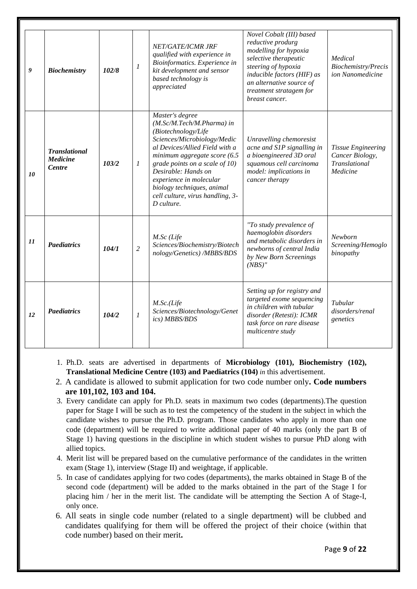| 9  | <b>Biochemistry</b>                                      | 102/8 | $\boldsymbol{l}$ | NET/GATE/ICMR JRF<br>qualified with experience in<br>Bioinformatics. Experience in<br>kit development and sensor<br>based technology is<br>appreciated                                                                                                                                                                                   | Novel Cobalt (III) based<br>reductive produrg<br>modelling for hypoxia<br>selective therapeutic<br>steering of hypoxia<br>inducible factors (HIF) as<br>an alternative source of<br>treatment stratagem for<br>breast cancer. | Medical<br>Biochemistry/Precis<br>ion Nanomedicine                               |
|----|----------------------------------------------------------|-------|------------------|------------------------------------------------------------------------------------------------------------------------------------------------------------------------------------------------------------------------------------------------------------------------------------------------------------------------------------------|-------------------------------------------------------------------------------------------------------------------------------------------------------------------------------------------------------------------------------|----------------------------------------------------------------------------------|
| 10 | <b>Translational</b><br><b>Medicine</b><br><b>Centre</b> | 103/2 | 1                | Master's degree<br>(M.Sc/M.Tech/M.Pharma) in<br>(Biotechnology/Life<br>Sciences/Microbiology/Medic<br>al Devices/Allied Field with a<br>minimum aggregate score (6.5<br>grade points on a scale of 10)<br>Desirable: Hands on<br>experience in molecular<br>biology techniques, animal<br>cell culture, virus handling, 3-<br>D culture. | Unravelling chemoresist<br>acne and S1P signalling in<br>a bioengineered 3D oral<br>squamous cell carcinoma<br>model: implications in<br>cancer therapy                                                                       | <b>Tissue Engineering</b><br>Cancer Biology,<br><b>Translational</b><br>Medicine |
| 11 | <b>Paediatrics</b>                                       | 104/1 | $\overline{c}$   | M.Sc (Life<br>Sciences/Biochemistry/Biotech<br>nology/Genetics) /MBBS/BDS                                                                                                                                                                                                                                                                | "To study prevalence of<br>haemoglobin disorders<br>and metabolic disorders in<br>newborns of central India<br>by New Born Screenings<br>$(NBS)$ "                                                                            | <b>Newhorn</b><br>Screening/Hemoglo<br>binopathy                                 |
| 12 | <b>Paediatrics</b>                                       | 104/2 | 1                | M.Sc.(Life<br>Sciences/Biotechnology/Genet<br>ics) MBBS/BDS                                                                                                                                                                                                                                                                              | Setting up for registry and<br>targeted exome sequencing<br>in children with tubular<br>disorder (Retesti): ICMR<br>task force on rare disease<br>multicentre study                                                           | Tubular<br>disorders/renal<br>genetics                                           |

- 1. Ph.D. seats are advertised in departments of **Microbiology (101), Biochemistry (102), Translational Medicine Centre (103) and Paediatrics (104)** *in* this advertisement.
- 2. A candidate is allowed to submit application for two code number only**. Code numbers are 101,102, 103 and 104.**
- 3. Every candidate can apply for Ph.D. seats in maximum two codes (departments).The question paper for Stage I will be such as to test the competency of the student in the subject in which the candidate wishes to pursue the Ph.D. program. Those candidates who apply in more than one code (department) will be required to write additional paper of 40 marks (only the part B of Stage 1) having questions in the discipline in which student wishes to pursue PhD along with allied topics.
- 4. Merit list will be prepared based on the cumulative performance of the candidates in the written exam (Stage 1), interview (Stage II) and weightage, if applicable.
- 5. In case of candidates applying for two codes (departments), the marks obtained in Stage B of the second code (department) will be added to the marks obtained in the part of the Stage I for placing him / her in the merit list. The candidate will be attempting the Section A of Stage-I, only once.
- 6. All seats in single code number (related to a single department) will be clubbed and candidates qualifying for them will be offered the project of their choice (within that code number) based on their merit**.**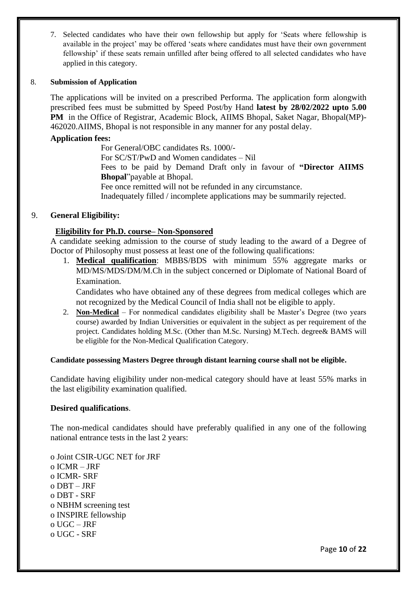7. Selected candidates who have their own fellowship but apply for 'Seats where fellowship is available in the project' may be offered 'seats where candidates must have their own government fellowship' if these seats remain unfilled after being offered to all selected candidates who have applied in this category.

#### 8. **Submission of Application**

The applications will be invited on a prescribed Performa. The application form alongwith prescribed fees must be submitted by Speed Post/by Hand **latest by 28/02/2022 upto 5.00 PM** in the Office of Registrar, Academic Block, AIIMS Bhopal, Saket Nagar, Bhopal(MP)- 462020.AIIMS, Bhopal is not responsible in any manner for any postal delay.

#### **Application fees:**

For General/OBC candidates Rs. 1000/-

For SC/ST/PwD and Women candidates – Nil

Fees to be paid by Demand Draft only in favour of **"Director AIIMS Bhopal**"payable at Bhopal.

Fee once remitted will not be refunded in any circumstance.

Inadequately filled / incomplete applications may be summarily rejected.

#### 9. **General Eligibility:**

#### **Eligibility for Ph.D. course– Non-Sponsored**

A candidate seeking admission to the course of study leading to the award of a Degree of Doctor of Philosophy must possess at least one of the following qualifications:

1. **Medical qualification**: MBBS/BDS with minimum 55% aggregate marks or MD/MS/MDS/DM/M.Ch in the subject concerned or Diplomate of National Board of Examination.

Candidates who have obtained any of these degrees from medical colleges which are not recognized by the Medical Council of India shall not be eligible to apply.

2. **Non-Medical** – For nonmedical candidates eligibility shall be Master's Degree (two years course) awarded by Indian Universities or equivalent in the subject as per requirement of the project. Candidates holding M.Sc. (Other than M.Sc. Nursing) M.Tech. degree& BAMS will be eligible for the Non-Medical Qualification Category.

#### **Candidate possessing Masters Degree through distant learning course shall not be eligible.**

Candidate having eligibility under non-medical category should have at least 55% marks in the last eligibility examination qualified.

#### **Desired qualifications**.

The non-medical candidates should have preferably qualified in any one of the following national entrance tests in the last 2 years:

o Joint CSIR-UGC NET for JRF o ICMR – JRF o ICMR- SRF o DBT – JRF o DBT - SRF o NBHM screening test o INSPIRE fellowship o UGC – JRF o UGC - SRF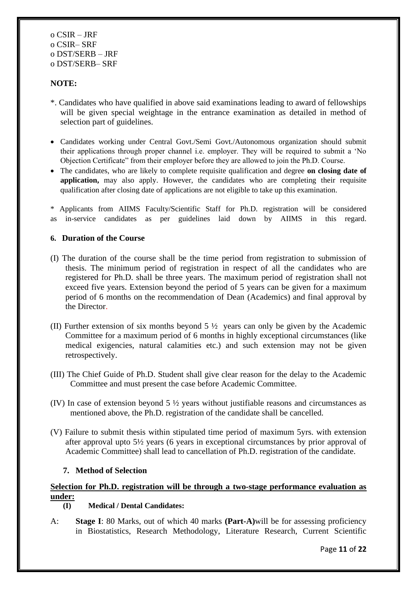#### **NOTE:**

- \*. Candidates who have qualified in above said examinations leading to award of fellowships will be given special weightage in the entrance examination as detailed in method of selection part of guidelines.
- Candidates working under Central Govt./Semi Govt./Autonomous organization should submit their applications through proper channel i.e. employer. They will be required to submit a 'No Objection Certificate" from their employer before they are allowed to join the Ph.D. Course.
- The candidates, who are likely to complete requisite qualification and degree **on closing date of application,** may also apply. However, the candidates who are completing their requisite qualification after closing date of applications are not eligible to take up this examination.

\* Applicants from AIIMS Faculty/Scientific Staff for Ph.D. registration will be considered as in-service candidates as per guidelines laid down by AIIMS in this regard.

#### **6. Duration of the Course**

- (I) The duration of the course shall be the time period from registration to submission of thesis. The minimum period of registration in respect of all the candidates who are registered for Ph.D. shall be three years. The maximum period of registration shall not exceed five years. Extension beyond the period of 5 years can be given for a maximum period of 6 months on the recommendation of Dean (Academics) and final approval by the Director.
- (II) Further extension of six months beyond 5 ½ years can only be given by the Academic Committee for a maximum period of 6 months in highly exceptional circumstances (like medical exigencies, natural calamities etc.) and such extension may not be given retrospectively.
- (III) The Chief Guide of Ph.D. Student shall give clear reason for the delay to the Academic Committee and must present the case before Academic Committee.
- (IV) In case of extension beyond 5 ½ years without justifiable reasons and circumstances as mentioned above, the Ph.D. registration of the candidate shall be cancelled.
- (V) Failure to submit thesis within stipulated time period of maximum 5yrs. with extension after approval upto 5½ years (6 years in exceptional circumstances by prior approval of Academic Committee) shall lead to cancellation of Ph.D. registration of the candidate.

#### **7. Method of Selection**

#### **Selection for Ph.D. registration will be through a two-stage performance evaluation as under:**

#### **(I) Medical / Dental Candidates:**

A: **Stage I**: 80 Marks, out of which 40 marks **(Part-A)**will be for assessing proficiency in Biostatistics, Research Methodology, Literature Research, Current Scientific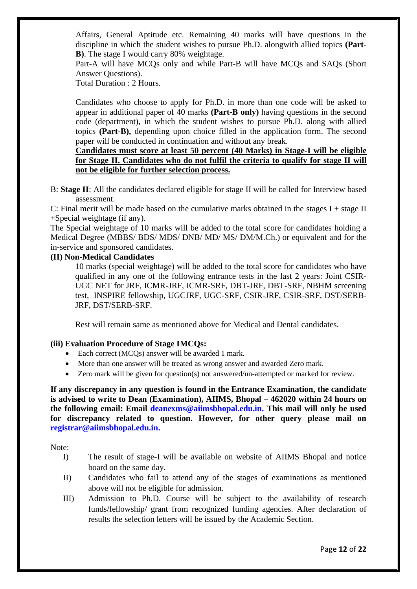Affairs, General Aptitude etc. Remaining 40 marks will have questions in the discipline in which the student wishes to pursue Ph.D. alongwith allied topics **(Part-B)**. The stage I would carry 80% weightage.

Part-A will have MCQs only and while Part-B will have MCQs and SAQs (Short Answer Questions).

Total Duration : 2 Hours.

Candidates who choose to apply for Ph.D. in more than one code will be asked to appear in additional paper of 40 marks **(Part-B only)** having questions in the second code (department), in which the student wishes to pursue Ph.D. along with allied topics **(Part-B),** depending upon choice filled in the application form. The second paper will be conducted in continuation and without any break.

#### **Candidates must score at least 50 percent (40 Marks) in Stage-I will be eligible for Stage II. Candidates who do not fulfil the criteria to qualify for stage II will not be eligible for further selection process.**

B: **Stage II**: All the candidates declared eligible for stage II will be called for Interview based assessment.

C: Final merit will be made based on the cumulative marks obtained in the stages  $I + stage II$ +Special weightage (if any).

The Special weightage of 10 marks will be added to the total score for candidates holding a Medical Degree (MBBS/ BDS/ MDS/ DNB/ MD/ MS/ DM/M.Ch.) or equivalent and for the in-service and sponsored candidates.

#### **(II) Non-Medical Candidates**

10 marks (special weightage) will be added to the total score for candidates who have qualified in any one of the following entrance tests in the last 2 years: Joint CSIR-UGC NET for JRF, ICMR-JRF, ICMR-SRF, DBT-JRF, DBT-SRF, NBHM screening test, INSPIRE fellowship, UGCJRF, UGC-SRF, CSIR-JRF, CSIR-SRF, DST/SERB-JRF, DST/SERB-SRF.

Rest will remain same as mentioned above for Medical and Dental candidates.

#### **(iii) Evaluation Procedure of Stage IMCQs:**

- Each correct (MCQs) answer will be awarded 1 mark.
- More than one answer will be treated as wrong answer and awarded Zero mark.
- Zero mark will be given for question(s) not answered/un-attempted or marked for review.

**If any discrepancy in any question is found in the Entrance Examination, the candidate is advised to write to Dean (Examination), AIIMS, Bhopal – 462020 within 24 hours on the following email: Email deanexms@aiimsbhopal.edu.in. This mail will only be used for discrepancy related to question. However, for other query please mail on registrar@aiimsbhopal.edu.in.**

Note:

- I) The result of stage-I will be available on website of AIIMS Bhopal and notice board on the same day.
- II) Candidates who fail to attend any of the stages of examinations as mentioned above will not be eligible for admission.
- III) Admission to Ph.D. Course will be subject to the availability of research funds/fellowship/ grant from recognized funding agencies. After declaration of results the selection letters will be issued by the Academic Section.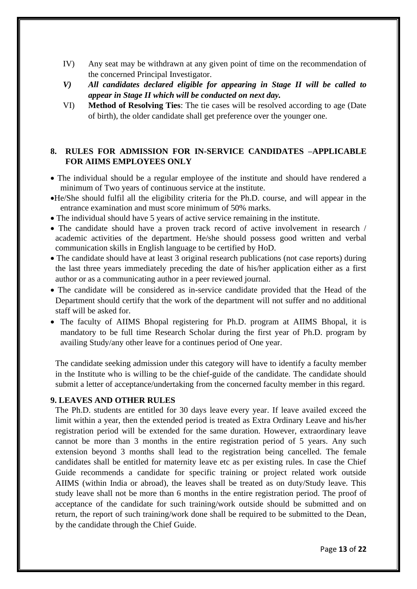- IV) Any seat may be withdrawn at any given point of time on the recommendation of the concerned Principal Investigator.
- *V) All candidates declared eligible for appearing in Stage II will be called to appear in Stage II which will be conducted on next day.*
- VI) **Method of Resolving Ties**: The tie cases will be resolved according to age (Date of birth), the older candidate shall get preference over the younger one.

#### **8. RULES FOR ADMISSION FOR IN-SERVICE CANDIDATES –APPLICABLE FOR AIIMS EMPLOYEES ONLY**

- The individual should be a regular employee of the institute and should have rendered a minimum of Two years of continuous service at the institute.
- •He/She should fulfil all the eligibility criteria for the Ph.D. course, and will appear in the entrance examination and must score minimum of 50% marks.
- The individual should have 5 years of active service remaining in the institute.
- The candidate should have a proven track record of active involvement in research / academic activities of the department. He/she should possess good written and verbal communication skills in English language to be certified by HoD.
- The candidate should have at least 3 original research publications (not case reports) during the last three years immediately preceding the date of his/her application either as a first author or as a communicating author in a peer reviewed journal.
- The candidate will be considered as in-service candidate provided that the Head of the Department should certify that the work of the department will not suffer and no additional staff will be asked for.
- The faculty of AIIMS Bhopal registering for Ph.D. program at AIIMS Bhopal, it is mandatory to be full time Research Scholar during the first year of Ph.D. program by availing Study/any other leave for a continues period of One year.

The candidate seeking admission under this category will have to identify a faculty member in the Institute who is willing to be the chief-guide of the candidate. The candidate should submit a letter of acceptance/undertaking from the concerned faculty member in this regard.

#### **9. LEAVES AND OTHER RULES**

The Ph.D. students are entitled for 30 days leave every year. If leave availed exceed the limit within a year, then the extended period is treated as Extra Ordinary Leave and his/her registration period will be extended for the same duration. However, extraordinary leave cannot be more than 3 months in the entire registration period of 5 years. Any such extension beyond 3 months shall lead to the registration being cancelled. The female candidates shall be entitled for maternity leave etc as per existing rules. In case the Chief Guide recommends a candidate for specific training or project related work outside AIIMS (within India or abroad), the leaves shall be treated as on duty/Study leave. This study leave shall not be more than 6 months in the entire registration period. The proof of acceptance of the candidate for such training/work outside should be submitted and on return, the report of such training/work done shall be required to be submitted to the Dean, by the candidate through the Chief Guide.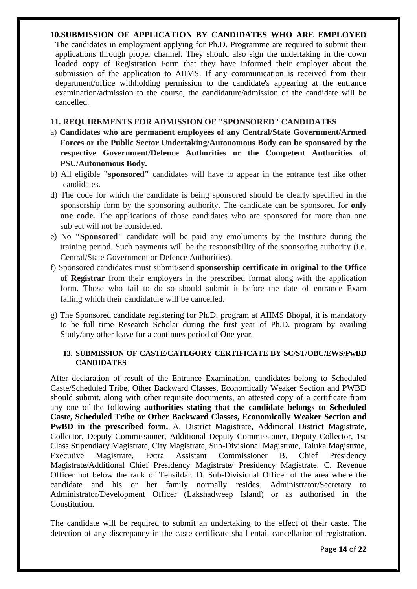#### **10.SUBMISSION OF APPLICATION BY CANDIDATES WHO ARE EMPLOYED**

The candidates in employment applying for Ph.D. Programme are required to submit their applications through proper channel. They should also sign the undertaking in the down loaded copy of Registration Form that they have informed their employer about the submission of the application to AIIMS. If any communication is received from their department/office withholding permission to the candidate's appearing at the entrance examination/admission to the course, the candidature/admission of the candidate will be cancelled.

#### **11. REQUIREMENTS FOR ADMISSION OF "SPONSORED" CANDIDATES**

- a) **Candidates who are permanent employees of any Central/State Government/Armed Forces or the Public Sector Undertaking/Autonomous Body can be sponsored by the respective Government/Defence Authorities or the Competent Authorities of PSU/Autonomous Body.**
- b) All eligible **"sponsored"** candidates will have to appear in the entrance test like other candidates.
- d) The code for which the candidate is being sponsored should be clearly specified in the sponsorship form by the sponsoring authority. The candidate can be sponsored for **only one code.** The applications of those candidates who are sponsored for more than one subject will not be considered.
- e) No **"Sponsored"** candidate will be paid any emoluments by the Institute during the training period. Such payments will be the responsibility of the sponsoring authority (i.e. Central/State Government or Defence Authorities).
- f) Sponsored candidates must submit/send **sponsorship certificate in original to the Office of Registrar** from their employers in the prescribed format along with the application form. Those who fail to do so should submit it before the date of entrance Exam failing which their candidature will be cancelled.
- g) The Sponsored candidate registering for Ph.D. program at AIIMS Bhopal, it is mandatory to be full time Research Scholar during the first year of Ph.D. program by availing Study/any other leave for a continues period of One year.

#### **13. SUBMISSION OF CASTE/CATEGORY CERTIFICATE BY SC/ST/OBC/EWS/PwBD CANDIDATES**

After declaration of result of the Entrance Examination, candidates belong to Scheduled Caste/Scheduled Tribe, Other Backward Classes, Economically Weaker Section and PWBD should submit, along with other requisite documents, an attested copy of a certificate from any one of the following **authorities stating that the candidate belongs to Scheduled Caste, Scheduled Tribe or Other Backward Classes, Economically Weaker Section and PwBD in the prescribed form.** A. District Magistrate, Additional District Magistrate, Collector, Deputy Commissioner, Additional Deputy Commissioner, Deputy Collector, 1st Class Stipendiary Magistrate, City Magistrate, Sub-Divisional Magistrate, Taluka Magistrate, Executive Magistrate, Extra Assistant Commissioner B. Chief Presidency Magistrate/Additional Chief Presidency Magistrate/ Presidency Magistrate. C. Revenue Officer not below the rank of Tehsildar. D. Sub-Divisional Officer of the area where the candidate and his or her family normally resides. Administrator/Secretary to Administrator/Development Officer (Lakshadweep Island) or as authorised in the Constitution.

The candidate will be required to submit an undertaking to the effect of their caste. The detection of any discrepancy in the caste certificate shall entail cancellation of registration.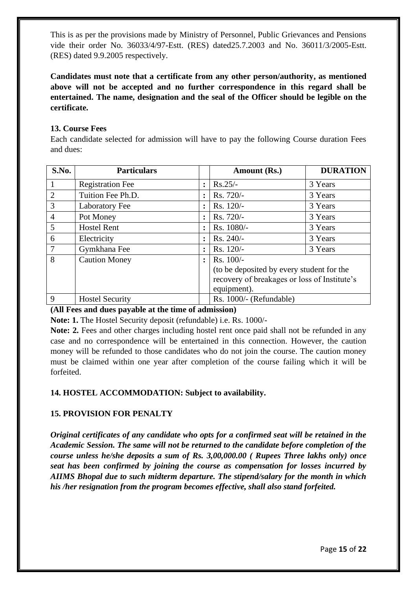This is as per the provisions made by Ministry of Personnel, Public Grievances and Pensions vide their order No. 36033/4/97-Estt. (RES) dated25.7.2003 and No. 36011/3/2005-Estt. (RES) dated 9.9.2005 respectively.

**Candidates must note that a certificate from any other person/authority, as mentioned above will not be accepted and no further correspondence in this regard shall be entertained. The name, designation and the seal of the Officer should be legible on the certificate.**

#### **13. Course Fees**

Each candidate selected for admission will have to pay the following Course duration Fees and dues:

| S.No.          | <b>Particulars</b>      |                | Amount (Rs.)                                 | <b>DURATION</b> |
|----------------|-------------------------|----------------|----------------------------------------------|-----------------|
| 1              | <b>Registration Fee</b> | $\ddot{\cdot}$ | $Rs.25/-$                                    | 3 Years         |
| $\overline{2}$ | Tuition Fee Ph.D.       | $\ddot{\cdot}$ | Rs. 720/-                                    | 3 Years         |
| $\overline{3}$ | <b>Laboratory Fee</b>   | $\ddot{\cdot}$ | Rs. 120/-                                    | 3 Years         |
| $\overline{4}$ | Pot Money               | $\ddot{\cdot}$ | Rs. 720/-                                    | 3 Years         |
| 5              | <b>Hostel Rent</b>      | $\ddot{\cdot}$ | Rs. 1080/-                                   | 3 Years         |
| 6              | Electricity             | $\ddot{\cdot}$ | Rs. 240/-                                    | 3 Years         |
| 7              | Gymkhana Fee            | $\ddot{\cdot}$ | Rs. 120/-                                    | 3 Years         |
| 8              | <b>Caution Money</b>    | $\ddot{\cdot}$ | $Rs. 100/-$                                  |                 |
|                |                         |                | (to be deposited by every student for the    |                 |
|                |                         |                | recovery of breakages or loss of Institute's |                 |
|                |                         |                | equipment).                                  |                 |
| 9              | <b>Hostel Security</b>  |                | Rs. 1000/- (Refundable)                      |                 |

#### **(All Fees and dues payable at the time of admission)**

**Note: 1.** The Hostel Security deposit (refundable) i.e. Rs. 1000/-

**Note: 2.** Fees and other charges including hostel rent once paid shall not be refunded in any case and no correspondence will be entertained in this connection. However, the caution money will be refunded to those candidates who do not join the course. The caution money must be claimed within one year after completion of the course failing which it will be forfeited.

#### **14. HOSTEL ACCOMMODATION: Subject to availability.**

#### **15. PROVISION FOR PENALTY**

*Original certificates of any candidate who opts for a confirmed seat will be retained in the Academic Session. The same will not be returned to the candidate before completion of the course unless he/she deposits a sum of Rs. 3,00,000.00 ( Rupees Three lakhs only) once seat has been confirmed by joining the course as compensation for losses incurred by AIIMS Bhopal due to such midterm departure. The stipend/salary for the month in which his /her resignation from the program becomes effective, shall also stand forfeited.*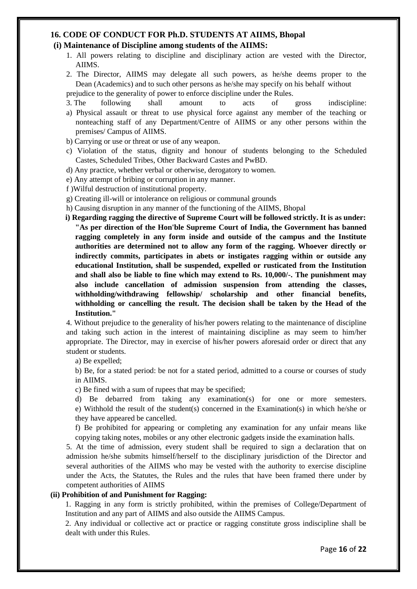#### **16. CODE OF CONDUCT FOR Ph.D. STUDENTS AT AIIMS, Bhopal**

#### **(i) Maintenance of Discipline among students of the AIIMS:**

1. All powers relating to discipline and disciplinary action are vested with the Director, AIIMS.

2. The Director, AIIMS may delegate all such powers, as he/she deems proper to the Dean (Academics) and to such other persons as he/she may specify on his behalf without prejudice to the generality of power to enforce discipline under the Rules.

- 3. The following shall amount to acts of gross indiscipline:
- a) Physical assault or threat to use physical force against any member of the teaching or nonteaching staff of any Department/Centre of AIIMS or any other persons within the premises/ Campus of AIIMS.
- b) Carrying or use or threat or use of any weapon.
- c) Violation of the status, dignity and honour of students belonging to the Scheduled Castes, Scheduled Tribes, Other Backward Castes and PwBD.
- d) Any practice, whether verbal or otherwise, derogatory to women.
- e) Any attempt of bribing or corruption in any manner.
- f )Wilful destruction of institutional property.
- g) Creating ill-will or intolerance on religious or communal grounds
- h) Causing disruption in any manner of the functioning of the AIIMS, Bhopal
- **i) Regarding ragging the directive of Supreme Court will be followed strictly. It is as under: "As per direction of the Hon'ble Supreme Court of India, the Government has banned ragging completely in any form inside and outside of the campus and the Institute authorities are determined not to allow any form of the ragging. Whoever directly or indirectly commits, participates in abets or instigates ragging within or outside any educational Institution, shall be suspended, expelled or rusticated from the Institution and shall also be liable to fine which may extend to Rs. 10,000/-. The punishment may also include cancellation of admission suspension from attending the classes, withholding/withdrawing fellowship/ scholarship and other financial benefits, withholding or cancelling the result. The decision shall be taken by the Head of the Institution."**

4. Without prejudice to the generality of his/her powers relating to the maintenance of discipline and taking such action in the interest of maintaining discipline as may seem to him/her appropriate. The Director, may in exercise of his/her powers aforesaid order or direct that any student or students.

a) Be expelled;

b) Be, for a stated period: be not for a stated period, admitted to a course or courses of study in AIIMS.

c) Be fined with a sum of rupees that may be specified;

d) Be debarred from taking any examination(s) for one or more semesters. e) Withhold the result of the student(s) concerned in the Examination(s) in which he/she or they have appeared be cancelled.

f) Be prohibited for appearing or completing any examination for any unfair means like copying taking notes, mobiles or any other electronic gadgets inside the examination halls.

5. At the time of admission, every student shall be required to sign a declaration that on admission he/she submits himself/herself to the disciplinary jurisdiction of the Director and several authorities of the AIIMS who may be vested with the authority to exercise discipline under the Acts, the Statutes, the Rules and the rules that have been framed there under by competent authorities of AIIMS

#### **(ii) Prohibition of and Punishment for Ragging:**

1. Ragging in any form is strictly prohibited, within the premises of College/Department of Institution and any part of AIIMS and also outside the AIIMS Campus.

2. Any individual or collective act or practice or ragging constitute gross indiscipline shall be dealt with under this Rules.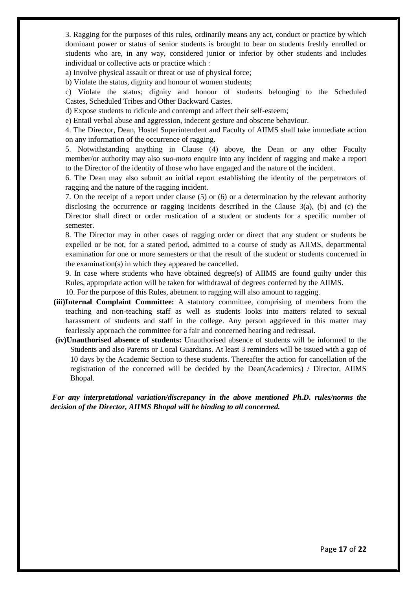3. Ragging for the purposes of this rules, ordinarily means any act, conduct or practice by which dominant power or status of senior students is brought to bear on students freshly enrolled or students who are, in any way, considered junior or inferior by other students and includes individual or collective acts or practice which :

a) Involve physical assault or threat or use of physical force;

b) Violate the status, dignity and honour of women students;

c) Violate the status; dignity and honour of students belonging to the Scheduled Castes, Scheduled Tribes and Other Backward Castes.

d) Expose students to ridicule and contempt and affect their self-esteem;

e) Entail verbal abuse and aggression, indecent gesture and obscene behaviour.

4. The Director, Dean, Hostel Superintendent and Faculty of AIIMS shall take immediate action on any information of the occurrence of ragging.

5. Notwithstanding anything in Clause (4) above, the Dean or any other Faculty member/or authority may also *suo-moto* enquire into any incident of ragging and make a report to the Director of the identity of those who have engaged and the nature of the incident.

6. The Dean may also submit an initial report establishing the identity of the perpetrators of ragging and the nature of the ragging incident.

7. On the receipt of a report under clause (5) or (6) or a determination by the relevant authority disclosing the occurrence or ragging incidents described in the Clause 3(a), (b) and (c) the Director shall direct or order rustication of a student or students for a specific number of semester.

8. The Director may in other cases of ragging order or direct that any student or students be expelled or be not, for a stated period, admitted to a course of study as AIIMS, departmental examination for one or more semesters or that the result of the student or students concerned in the examination(s) in which they appeared be cancelled.

9. In case where students who have obtained degree(s) of AIIMS are found guilty under this Rules, appropriate action will be taken for withdrawal of degrees conferred by the AIIMS.

10. For the purpose of this Rules, abetment to ragging will also amount to ragging.

- **(iii)Internal Complaint Committee:** A statutory committee, comprising of members from the teaching and non-teaching staff as well as students looks into matters related to sexual harassment of students and staff in the college. Any person aggrieved in this matter may fearlessly approach the committee for a fair and concerned hearing and redressal.
- **(iv)Unauthorised absence of students:** Unauthorised absence of students will be informed to the Students and also Parents or Local Guardians. At least 3 reminders will be issued with a gap of 10 days by the Academic Section to these students. Thereafter the action for cancellation of the registration of the concerned will be decided by the Dean(Academics) / Director, AIIMS Bhopal.

*For any interpretational variation/discrepancy in the above mentioned Ph.D. rules/norms the decision of the Director, AIIMS Bhopal will be binding to all concerned.*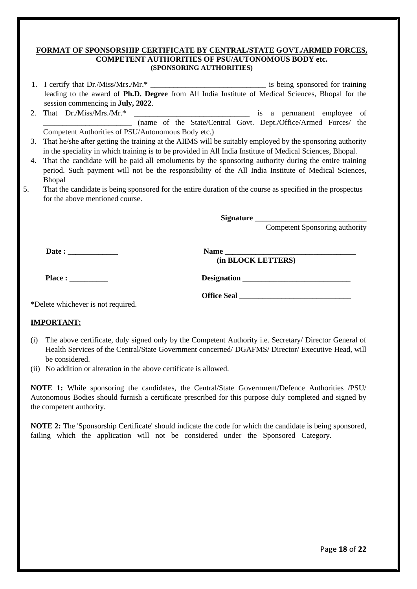#### **FORMAT OF SPONSORSHIP CERTIFICATE BY CENTRAL/STATE GOVT./ARMED FORCES, COMPETENT AUTHORITIES OF PSU/AUTONOMOUS BODY etc. (SPONSORING AUTHORITIES)**

| 1. I certify that Dr./Miss/Mrs./Mr.*                                                                     |  | is being sponsored for training |  |
|----------------------------------------------------------------------------------------------------------|--|---------------------------------|--|
| leading to the award of <b>Ph.D. Degree</b> from All India Institute of Medical Sciences, Bhopal for the |  |                                 |  |
| session commencing in <b>July</b> , 2022.                                                                |  |                                 |  |

2. That Dr./Miss/Mrs./Mr.\* \_\_\_\_\_\_\_\_\_\_\_\_\_\_\_\_\_\_\_\_\_\_\_\_\_\_\_\_\_\_ is a permanent employee of \_\_\_\_\_\_\_\_\_\_\_\_\_\_\_\_\_\_\_\_\_\_\_ (name of the State/Central Govt. Dept./Office/Armed Forces/ the Competent Authorities of PSU/Autonomous Body etc.)

- 3. That he/she after getting the training at the AIIMS will be suitably employed by the sponsoring authority in the speciality in which training is to be provided in All India Institute of Medical Sciences, Bhopal.
- 4. That the candidate will be paid all emoluments by the sponsoring authority during the entire training period. Such payment will not be the responsibility of the All India Institute of Medical Sciences, Bhopal
- 5. That the candidate is being sponsored for the entire duration of the course as specified in the prospectus for the above mentioned course.

**Signature \_\_\_\_\_\_\_\_\_\_\_\_\_\_\_\_\_\_\_\_\_\_\_\_\_\_\_\_\_**

 **(in BLOCK LETTERS)**

Competent Sponsoring authority

 **Date : \_\_\_\_\_\_\_\_\_\_\_\_\_ Name \_\_\_\_\_\_\_\_\_\_\_\_\_\_\_\_\_\_\_\_\_\_\_\_\_\_\_\_\_\_\_\_\_\_**

**Place : \_\_\_\_\_\_\_\_\_\_ Designation \_\_\_\_\_\_\_\_\_\_\_\_\_\_\_\_\_\_\_\_\_\_\_\_\_\_\_\_**

 **Office Seal \_\_\_\_\_\_\_\_\_\_\_\_\_\_\_\_\_\_\_\_\_\_\_\_\_\_\_\_\_**

\*Delete whichever is not required.

#### **IMPORTANT:**

- (i) The above certificate, duly signed only by the Competent Authority i.e. Secretary/ Director General of Health Services of the Central/State Government concerned/ DGAFMS/ Director/ Executive Head, will be considered.
- (ii) No addition or alteration in the above certificate is allowed.

**NOTE 1:** While sponsoring the candidates, the Central/State Government/Defence Authorities /PSU/ Autonomous Bodies should furnish a certificate prescribed for this purpose duly completed and signed by the competent authority.

**NOTE 2:** The 'Sponsorship Certificate' should indicate the code for which the candidate is being sponsored, failing which the application will not be considered under the Sponsored Category.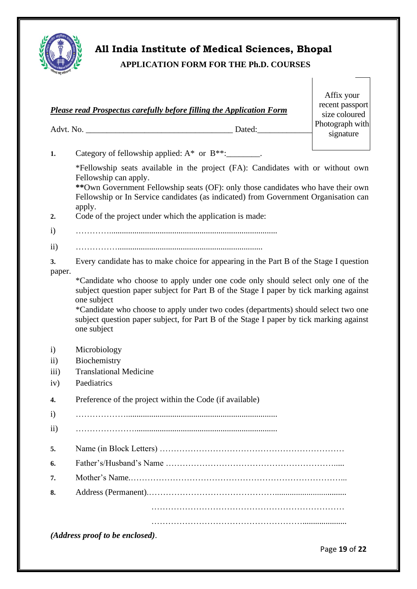

## **All India Institute of Medical Sciences, Bhopal**

|  |  |  | <b>APPLICATION FORM FOR THE Ph.D. COURSES</b> |  |
|--|--|--|-----------------------------------------------|--|
|  |  |  |                                               |  |

|                         | Please read Prospectus carefully before filling the Application Form                                                                                                                                                                                                                                                                                                                                | Affix your<br>recent passport<br>size coloured<br>Photograph with |  |  |  |
|-------------------------|-----------------------------------------------------------------------------------------------------------------------------------------------------------------------------------------------------------------------------------------------------------------------------------------------------------------------------------------------------------------------------------------------------|-------------------------------------------------------------------|--|--|--|
|                         |                                                                                                                                                                                                                                                                                                                                                                                                     | signature                                                         |  |  |  |
| 1.                      | Category of fellowship applied: $A^*$ or $B^{**}$ : ________.                                                                                                                                                                                                                                                                                                                                       |                                                                   |  |  |  |
| 2.                      | *Fellowship seats available in the project (FA): Candidates with or without own<br>Fellowship can apply.<br>**Own Government Fellowship seats (OF): only those candidates who have their own<br>Fellowship or In Service candidates (as indicated) from Government Organisation can<br>apply.<br>Code of the project under which the application is made:                                           |                                                                   |  |  |  |
| $\mathbf{i}$            |                                                                                                                                                                                                                                                                                                                                                                                                     |                                                                   |  |  |  |
| $\rm ii)$               |                                                                                                                                                                                                                                                                                                                                                                                                     |                                                                   |  |  |  |
| 3.                      | Every candidate has to make choice for appearing in the Part B of the Stage I question                                                                                                                                                                                                                                                                                                              |                                                                   |  |  |  |
|                         | paper.<br>*Candidate who choose to apply under one code only should select only one of the<br>subject question paper subject for Part B of the Stage I paper by tick marking against<br>one subject<br>*Candidate who choose to apply under two codes (departments) should select two one<br>subject question paper subject, for Part B of the Stage I paper by tick marking against<br>one subject |                                                                   |  |  |  |
| $\mathbf{i}$            | Microbiology                                                                                                                                                                                                                                                                                                                                                                                        |                                                                   |  |  |  |
| $\rm ii)$               | Biochemistry                                                                                                                                                                                                                                                                                                                                                                                        |                                                                   |  |  |  |
| $\overline{iii}$<br>iv) | <b>Translational Medicine</b><br>Paediatrics                                                                                                                                                                                                                                                                                                                                                        |                                                                   |  |  |  |
| 4.                      | Preference of the project within the Code (if available)                                                                                                                                                                                                                                                                                                                                            |                                                                   |  |  |  |
| $\mathbf{i}$            |                                                                                                                                                                                                                                                                                                                                                                                                     |                                                                   |  |  |  |
| $\rm ii)$               |                                                                                                                                                                                                                                                                                                                                                                                                     |                                                                   |  |  |  |
| 5.                      |                                                                                                                                                                                                                                                                                                                                                                                                     |                                                                   |  |  |  |
| 6.                      |                                                                                                                                                                                                                                                                                                                                                                                                     |                                                                   |  |  |  |
| 7.                      |                                                                                                                                                                                                                                                                                                                                                                                                     |                                                                   |  |  |  |
| 8.                      |                                                                                                                                                                                                                                                                                                                                                                                                     |                                                                   |  |  |  |
|                         |                                                                                                                                                                                                                                                                                                                                                                                                     |                                                                   |  |  |  |
|                         |                                                                                                                                                                                                                                                                                                                                                                                                     |                                                                   |  |  |  |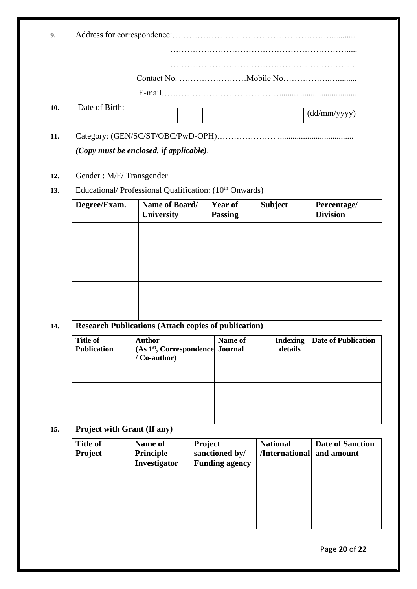| 9.  |                                                                                                                                           |
|-----|-------------------------------------------------------------------------------------------------------------------------------------------|
|     |                                                                                                                                           |
|     |                                                                                                                                           |
|     |                                                                                                                                           |
| 10. | Date of Birth:<br>(dd/mm/yyyy)                                                                                                            |
| 11. | (Copy must be enclosed, if applicable).                                                                                                   |
| 12. | Gender: M/F/Transgender<br>1. 그 사이 시간 사이트 그 사이트 그 사이트 그 사이트 그 사이트 그 사이트 그 사이트 그 사이트 그 사이트 그 사이트 그 사이트 그 사이트 그 사이트 그 사이트 그 사이트 그 사이트 그 사이트 |

13. Educational/ Professional Qualification: (10<sup>th</sup> Onwards)

| Degree/Exam. | Name of Board/<br>University | <b>Year of</b><br><b>Passing</b> | <b>Subject</b> | Percentage/<br><b>Division</b> |
|--------------|------------------------------|----------------------------------|----------------|--------------------------------|
|              |                              |                                  |                |                                |
|              |                              |                                  |                |                                |
|              |                              |                                  |                |                                |
|              |                              |                                  |                |                                |
|              |                              |                                  |                |                                |

#### **14. Research Publications (Attach copies of publication)**

| <b>Title of</b><br><b>Publication</b> | <b>Author</b><br>(As 1 <sup>st</sup> , Correspondence Journal<br>Co-author) | Name of | <b>Indexing</b><br>details | <b>Date of Publication</b> |
|---------------------------------------|-----------------------------------------------------------------------------|---------|----------------------------|----------------------------|
|                                       |                                                                             |         |                            |                            |
|                                       |                                                                             |         |                            |                            |
|                                       |                                                                             |         |                            |                            |

### **15. Project with Grant (If any)**

| <b>Title of</b><br><b>Project</b> | Name of<br><b>Principle</b><br>Investigator | <b>Project</b><br>sanctioned by/<br><b>Funding agency</b> | <b>National</b><br>/International | <b>Date of Sanction</b><br>and amount |
|-----------------------------------|---------------------------------------------|-----------------------------------------------------------|-----------------------------------|---------------------------------------|
|                                   |                                             |                                                           |                                   |                                       |
|                                   |                                             |                                                           |                                   |                                       |
|                                   |                                             |                                                           |                                   |                                       |

Page **20** of **22**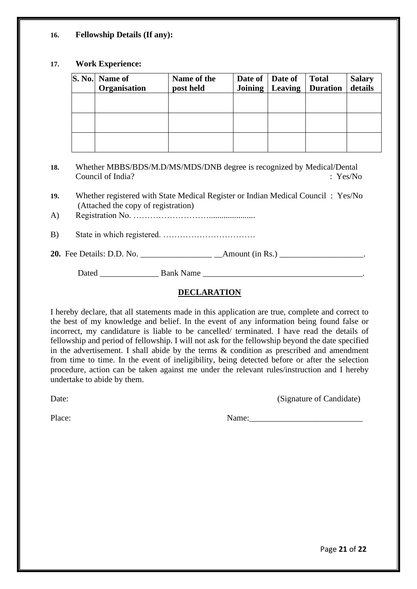#### **16. Fellowship Details (If any):**

#### **17. Work Experience:**

| S. No.   Name of<br>Organisation | Name of the<br>post held | Date of Date of | <b>Total</b><br>Joining   Leaving   Duration | <b>Salary</b><br>details |
|----------------------------------|--------------------------|-----------------|----------------------------------------------|--------------------------|
|                                  |                          |                 |                                              |                          |
|                                  |                          |                 |                                              |                          |
|                                  |                          |                 |                                              |                          |

- **18.** Whether MBBS/BDS/M.D/MS/MDS/DNB degree is recognized by Medical/Dental Council of India? : Yes/No
- **19.** Whether registered with State Medical Register or Indian Medical Council : Yes/No (Attached the copy of registration)
- A) Registration No. ………………………......................
- B) State in which registered. ……………………………

#### **20.** Fee Details: D.D. No. \_\_\_\_\_\_\_\_\_\_\_\_\_\_\_\_\_ \_\_Amount (in Rs.) \_\_\_\_\_\_\_\_\_\_\_\_\_\_\_\_\_\_\_\_.

Dated **Bank Name Bank Name** 

#### **DECLARATION**

I hereby declare, that all statements made in this application are true, complete and correct to the best of my knowledge and belief. In the event of any information being found false or incorrect, my candidature is liable to be cancelled/ terminated. I have read the details of fellowship and period of fellowship. I will not ask for the fellowship beyond the date specified in the advertisement. I shall abide by the terms  $\&$  condition as prescribed and amendment from time to time. In the event of ineligibility, being detected before or after the selection procedure, action can be taken against me under the relevant rules/instruction and I hereby undertake to abide by them.

Date: (Signature of Candidate)

Place: Name: